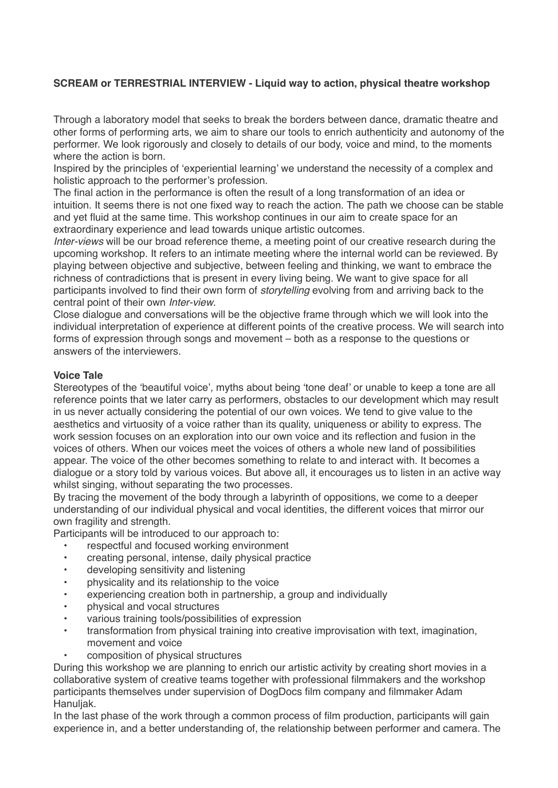# **SCREAM or TERRESTRIAL INTERVIEW - Liquid way to action, physical theatre workshop**

Through a laboratory model that seeks to break the borders between dance, dramatic theatre and other forms of performing arts, we aim to share our tools to enrich authenticity and autonomy of the performer. We look rigorously and closely to details of our body, voice and mind, to the moments where the action is born.

Inspired by the principles of 'experiential learning' we understand the necessity of a complex and holistic approach to the performer's profession.

The final action in the performance is often the result of a long transformation of an idea or intuition. It seems there is not one fixed way to reach the action. The path we choose can be stable and yet fluid at the same time. This workshop continues in our aim to create space for an extraordinary experience and lead towards unique artistic outcomes.

*Inter-views* will be our broad reference theme, a meeting point of our creative research during the upcoming workshop. It refers to an intimate meeting where the internal world can be reviewed. By playing between objective and subjective, between feeling and thinking, we want to embrace the richness of contradictions that is present in every living being. We want to give space for all participants involved to find their own form of *storytelling* evolving from and arriving back to the central point of their own *Inter-view*.

Close dialogue and conversations will be the objective frame through which we will look into the individual interpretation of experience at different points of the creative process. We will search into forms of expression through songs and movement – both as a response to the questions or answers of the interviewers.

## **Voice Tale**

Stereotypes of the 'beautiful voice', myths about being 'tone deaf' or unable to keep a tone are all reference points that we later carry as performers, obstacles to our development which may result in us never actually considering the potential of our own voices. We tend to give value to the aesthetics and virtuosity of a voice rather than its quality, uniqueness or ability to express. The work session focuses on an exploration into our own voice and its reflection and fusion in the voices of others. When our voices meet the voices of others a whole new land of possibilities appear. The voice of the other becomes something to relate to and interact with. It becomes a dialogue or a story told by various voices. But above all, it encourages us to listen in an active way whilst singing, without separating the two processes*.*

By tracing the movement of the body through a labyrinth of oppositions, we come to a deeper understanding of our individual physical and vocal identities, the different voices that mirror our own fragility and strength.

Participants will be introduced to our approach to:

- respectful and focused working environment
- creating personal, intense, daily physical practice
- developing sensitivity and listening
- physicality and its relationship to the voice
- experiencing creation both in partnership, a group and individually
- physical and vocal structures
- various training tools/possibilities of expression
- transformation from physical training into creative improvisation with text, imagination. movement and voice
	- composition of physical structures

During this workshop we are planning to enrich our artistic activity by creating short movies in a collaborative system of creative teams together with professional filmmakers and the workshop participants themselves under supervision of DogDocs film company and filmmaker Adam Hanuliak.

In the last phase of the work through a common process of film production, participants will gain experience in, and a better understanding of, the relationship between performer and camera. The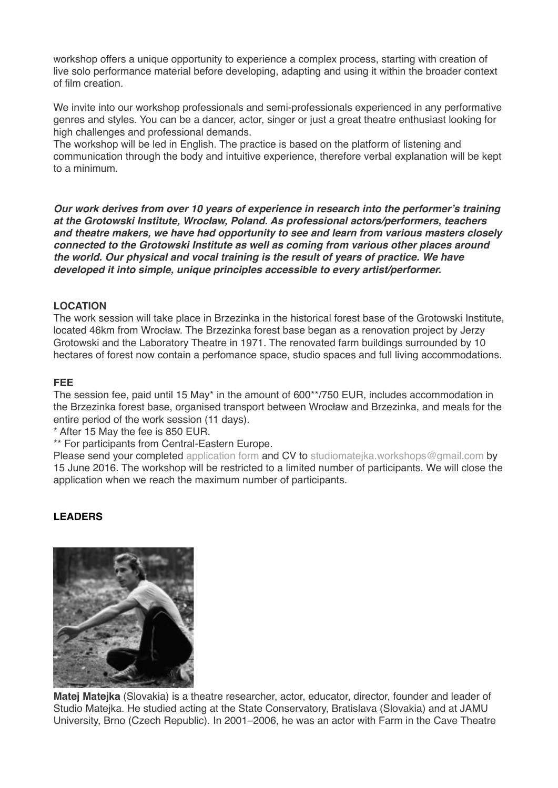workshop offers a unique opportunity to experience a complex process, starting with creation of live solo performance material before developing, adapting and using it within the broader context of film creation.

We invite into our workshop professionals and semi-professionals experienced in any performative genres and styles. You can be a dancer, actor, singer or just a great theatre enthusiast looking for high challenges and professional demands.

The workshop will be led in English. The practice is based on the platform of listening and communication through the body and intuitive experience, therefore verbal explanation will be kept to a minimum.

*Our work derives from over 10 years of experience in research into the performer's training at the Grotowski Institute, Wroc***ł***aw, Poland. As professional actors/performers, teachers and theatre makers, we have had opportunity to see and learn from various masters closely connected to the Grotowski Institute as well as coming from various other places around the world. Our physical and vocal training is the result of years of practice. We have developed it into simple, unique principles accessible to every artist/performer.*

## **LOCATION**

The work session will take place in Brzezinka in the historical forest base of the Grotowski Institute, located 46km from Wrocław. The Brzezinka forest base began as a renovation project by Jerzy Grotowski and the Laboratory Theatre in 1971. The renovated farm buildings surrounded by 10 hectares of forest now contain a perfomance space, studio spaces and full living accommodations.

### **FEE**

The session fee, paid until 15 May\* in the amount of 600\*\*/750 EUR, includes accommodation in the Brzezinka forest base, organised transport between Wrocław and Brzezinka, and meals for the entire period of the work session (11 days).

\* After 15 May the fee is 850 EUR.

\*\* For participants from Central-Eastern Europe.

Please send your completed [application form](http://en.grotowski-institute.art.pl/wp-content/uploads/2016/02/Application_form.doc) and CV to studiomateika.workshops@gmail.com by 15 June 2016. The workshop will be restricted to a limited number of participants. We will close the application when we reach the maximum number of participants.

## **LEADERS**



**Matej Matejka** (Slovakia) is a theatre researcher, actor, educator, director, founder and leader of Studio Matejka. He studied acting at the State Conservatory, Bratislava (Slovakia) and at JAMU University, Brno (Czech Republic). In 2001–2006, he was an actor with Farm in the Cave Theatre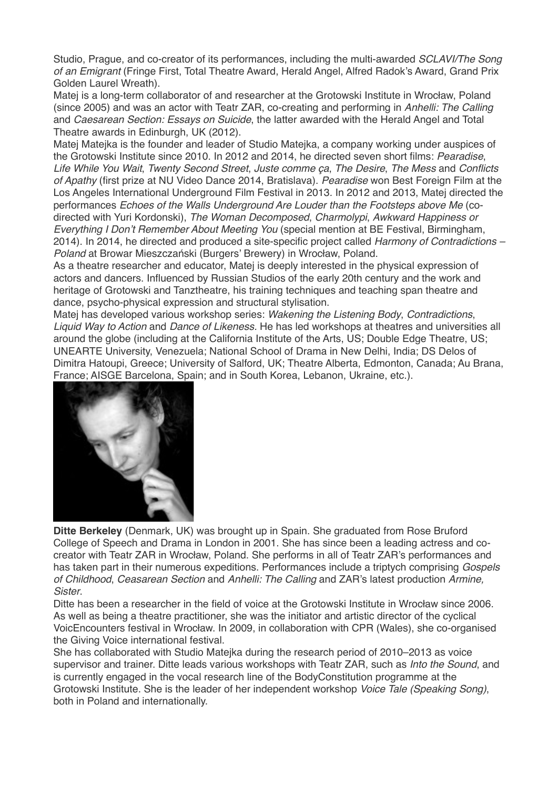Studio, Prague, and co-creator of its performances, including the multi-awarded *SCLAVI/The Song of an Emigrant* (Fringe First, Total Theatre Award, Herald Angel, Alfred Radok's Award, Grand Prix Golden Laurel Wreath).

Matej is a long-term collaborator of and researcher at the Grotowski Institute in Wrocław, Poland (since 2005) and was an actor with Teatr ZAR, co-creating and performing in *Anhelli: The Calling* and *Caesarean Section: Essays on Suicide*, the latter awarded with the Herald Angel and Total Theatre awards in Edinburgh, UK (2012).

Matej Matejka is the founder and leader of Studio Matejka, a company working under auspices of the Grotowski Institute since 2010. In 2012 and 2014, he directed seven short films: *Pearadise*, *Life While You Wait*, *Twenty Second Street*, *Juste comme ça*, *The Desire*, *The Mess* and *Conflicts of Apathy* (first prize at NU Video Dance 2014, Bratislava). *Pearadise* won Best Foreign Film at the Los Angeles International Underground Film Festival in 2013*.* In 2012 and 2013, Matej directed the performances *Echoes of the Walls Underground Are Louder than the Footsteps above Me* (codirected with Yuri Kordonski), *The Woman Decomposed*, *Charmolypi*, *Awkward Happiness or Everything I Don't Remember About Meeting You* (special mention at BE Festival, Birmingham, 2014). In 2014, he directed and produced a site-specific project called *Harmony of Contradictions – Poland* at Browar Mieszczański (Burgers' Brewery) in Wrocław, Poland.

As a theatre researcher and educator, Matej is deeply interested in the physical expression of actors and dancers. Influenced by Russian Studios of the early 20th century and the work and heritage of Grotowski and Tanztheatre, his training techniques and teaching span theatre and dance, psycho-physical expression and structural stylisation.

Matej has developed various workshop series: *Wakening the Listening Body*, *Contradictions*, *Liquid Way to Action* and *Dance of Likeness.* He has led workshops at theatres and universities all around the globe (including at the California Institute of the Arts, US; Double Edge Theatre, US; UNEARTE University, Venezuela; National School of Drama in New Delhi, India; DS Delos of Dimitra Hatoupi, Greece; University of Salford, UK; Theatre Alberta, Edmonton, Canada; Au Brana, France; AISGE Barcelona, Spain; and in South Korea, Lebanon, Ukraine, etc.).



**Ditte Berkeley** (Denmark, UK) was brought up in Spain. She graduated from Rose Bruford College of Speech and Drama in London in 2001. She has since been a leading actress and cocreator with Teatr ZAR in Wrocław, Poland. She performs in all of Teatr ZAR's performances and has taken part in their numerous expeditions. Performances include a triptych comprising *Gospels of Childhood*, *Ceasarean Section* and *Anhelli: The Calling* and ZAR's latest production *Armine, Sister*.

Ditte has been a researcher in the field of voice at the Grotowski Institute in Wrocław since 2006. As well as being a theatre practitioner, she was the initiator and artistic director of the cyclical VoicEncounters festival in Wrocław. In 2009, in collaboration with CPR (Wales), she co-organised the Giving Voice international festival.

She has collaborated with Studio Matejka during the research period of 2010–2013 as voice supervisor and trainer. Ditte leads various workshops with Teatr ZAR, such as *Into the Sound*, and is currently engaged in the vocal research line of the BodyConstitution programme at the Grotowski Institute. She is the leader of her independent workshop *Voice Tale (Speaking Song)*, both in Poland and internationally.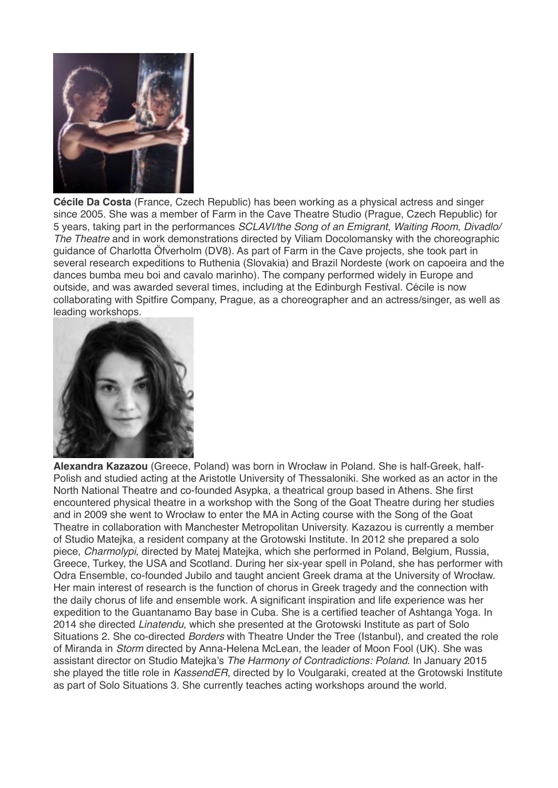

**Cécile Da Costa** (France, Czech Republic) has been working as a physical actress and singer since 2005. She was a member of Farm in the Cave Theatre Studio (Prague, Czech Republic) for 5 years, taking part in the performances *SCLAVI/the Song of an Emigrant*, *Waiting Room*, *Divadlo/ The Theatre* and in work demonstrations directed by Viliam Docolomansky with the choreographic guidance of Charlotta Öfverholm (DV8). As part of Farm in the Cave projects, she took part in several research expeditions to Ruthenia (Slovakia) and Brazil Nordeste (work on capoeira and the dances bumba meu boi and cavalo marinho). The company performed widely in Europe and outside, and was awarded several times, including at the Edinburgh Festival. Cécile is now collaborating with Spitfire Company, Prague, as a choreographer and an actress/singer, as well as leading workshops.



**Alexandra Kazazou** (Greece, Poland) was born in Wrocław in Poland. She is half-Greek, half-Polish and studied acting at the Aristotle University of Thessaloniki. She worked as an actor in the North National Theatre and co-founded Asypka, a theatrical group based in Athens. She first encountered physical theatre in a workshop with the Song of the Goat Theatre during her studies and in 2009 she went to Wrocław to enter the MA in Acting course with the Song of the Goat Theatre in collaboration with Manchester Metropolitan University. Kazazou is currently a member of Studio Matejka, a resident company at the Grotowski Institute. In 2012 she prepared a solo piece, *Charmolypi*, directed by Matej Matejka, which she performed in Poland, Belgium, Russia, Greece, Turkey, the USA and Scotland. During her six-year spell in Poland, she has performer with Odra Ensemble, co-founded Jubilo and taught ancient Greek drama at the University of Wrocław. Her main interest of research is the function of chorus in Greek tragedy and the connection with the daily chorus of life and ensemble work. A significant inspiration and life experience was her expedition to the Guantanamo Bay base in Cuba. She is a certified teacher of Ashtanga Yoga. In 2014 she directed *Linatendu*, which she presented at the Grotowski Institute as part of Solo Situations 2. She co-directed *Borders* with Theatre Under the Tree (Istanbul), and created the role of Miranda in *Storm* directed by Anna-Helena McLean, the leader of Moon Fool (UK). She was assistant director on Studio Matejka's *The Harmony of Contradictions: Poland*. In January 2015 she played the title role in *KassendER*, directed by Io Voulgaraki, created at the Grotowski Institute as part of Solo Situations 3. She currently teaches acting workshops around the world.